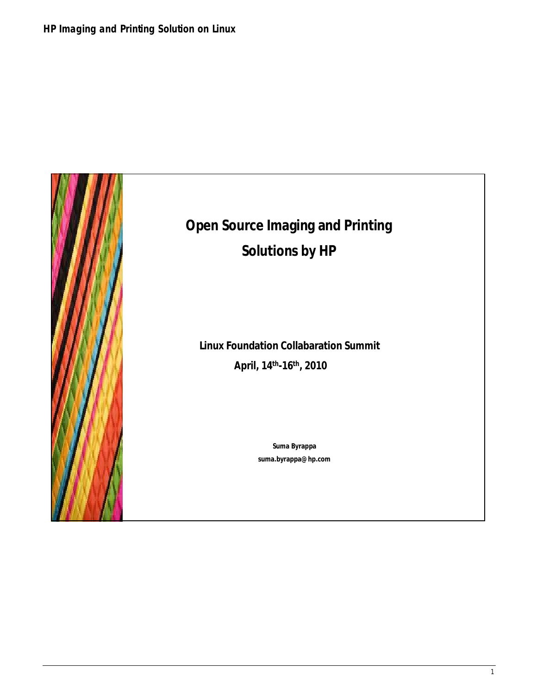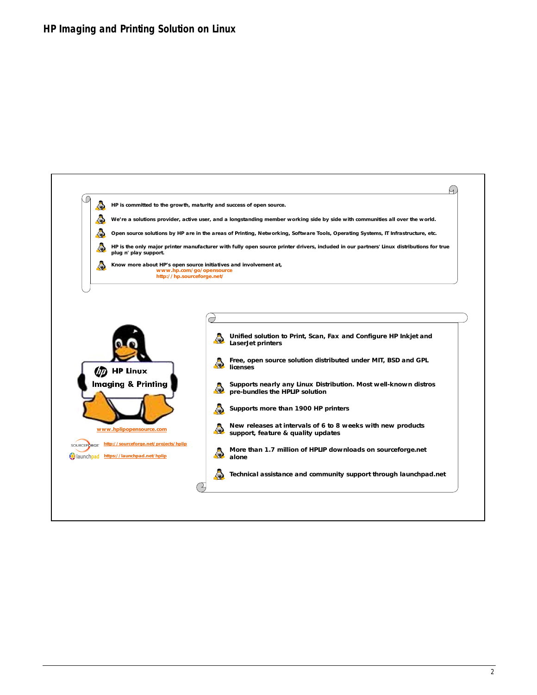## **HP Imaging and Printing Solution on Linux**

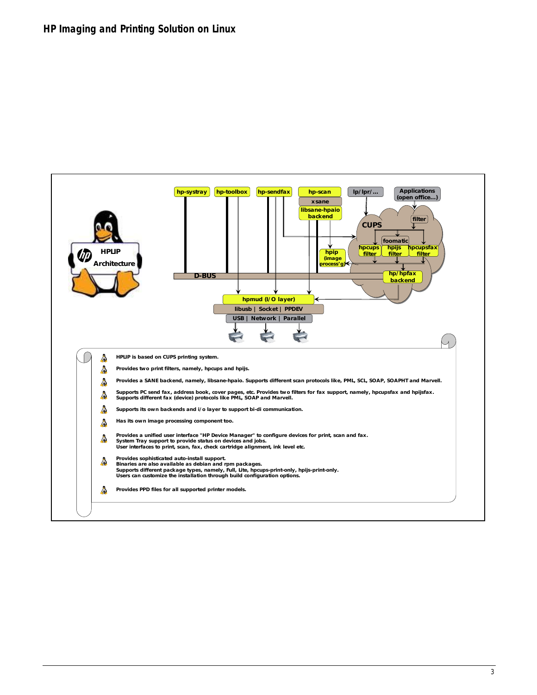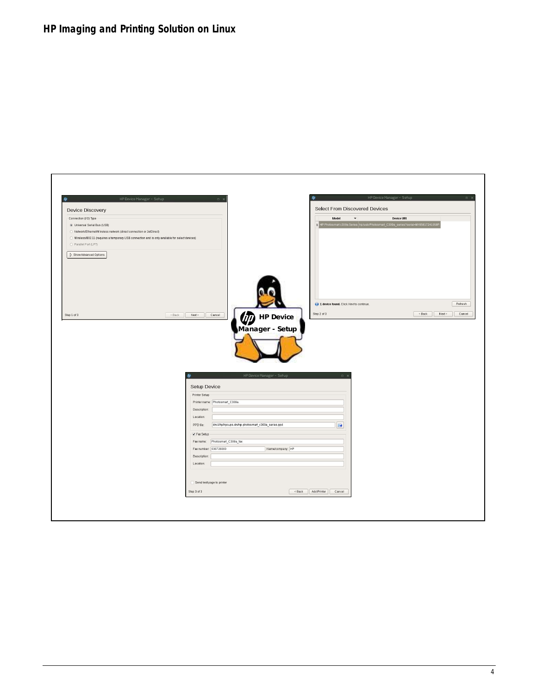| Connection (I/O) Type<br>Device URI<br>Model<br>$\checkmark$<br>1 HP Photosmart c309a Series hp/usb/Photosmart_C309a_series?serial=MY85817241058F<br>· Universal Serial Bus (USB)<br>O Network/Ethernet/Wireless network (direct connection or JetDirect)<br>◯ Wireless/802.11 (requires a temporary USB connection and is only available for select devices)<br>O Parallel Port (LPT)<br>> Show Advanced Options<br>1 device found. Click Next to continue.<br>Step 2 of 3<br>Step 1 of 3<br>$<$ Back<br>Next ><br>Cancel<br>Manager - Setup |                                       |
|-----------------------------------------------------------------------------------------------------------------------------------------------------------------------------------------------------------------------------------------------------------------------------------------------------------------------------------------------------------------------------------------------------------------------------------------------------------------------------------------------------------------------------------------------|---------------------------------------|
|                                                                                                                                                                                                                                                                                                                                                                                                                                                                                                                                               |                                       |
|                                                                                                                                                                                                                                                                                                                                                                                                                                                                                                                                               |                                       |
|                                                                                                                                                                                                                                                                                                                                                                                                                                                                                                                                               |                                       |
|                                                                                                                                                                                                                                                                                                                                                                                                                                                                                                                                               |                                       |
| HP Device Manager - Setup<br>$\sim$<br>ħп                                                                                                                                                                                                                                                                                                                                                                                                                                                                                                     | Refresh<br>$8$ exck<br>Cancel<br>Next |
| Setup Device                                                                                                                                                                                                                                                                                                                                                                                                                                                                                                                                  |                                       |
| Printer Setup                                                                                                                                                                                                                                                                                                                                                                                                                                                                                                                                 |                                       |
| Printer name: Photosmart_C309a                                                                                                                                                                                                                                                                                                                                                                                                                                                                                                                |                                       |
| Description:                                                                                                                                                                                                                                                                                                                                                                                                                                                                                                                                  |                                       |
| Location:<br>drv///hp/hpcups.drv/hp-photosmart_c309a_series.ppd<br>PPD file:                                                                                                                                                                                                                                                                                                                                                                                                                                                                  |                                       |
| ■                                                                                                                                                                                                                                                                                                                                                                                                                                                                                                                                             |                                       |
| √ Fax Setup<br>Fax name: Photosmart_C309a_fax                                                                                                                                                                                                                                                                                                                                                                                                                                                                                                 |                                       |
| Fax number: 030726000<br>Name/company: HP                                                                                                                                                                                                                                                                                                                                                                                                                                                                                                     |                                       |
| Description:                                                                                                                                                                                                                                                                                                                                                                                                                                                                                                                                  |                                       |
| Location:                                                                                                                                                                                                                                                                                                                                                                                                                                                                                                                                     |                                       |
|                                                                                                                                                                                                                                                                                                                                                                                                                                                                                                                                               |                                       |
|                                                                                                                                                                                                                                                                                                                                                                                                                                                                                                                                               |                                       |
| Send test page to printer                                                                                                                                                                                                                                                                                                                                                                                                                                                                                                                     |                                       |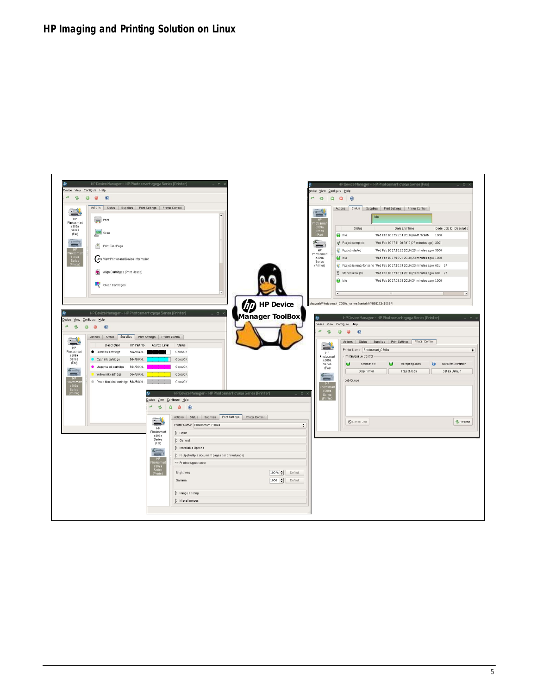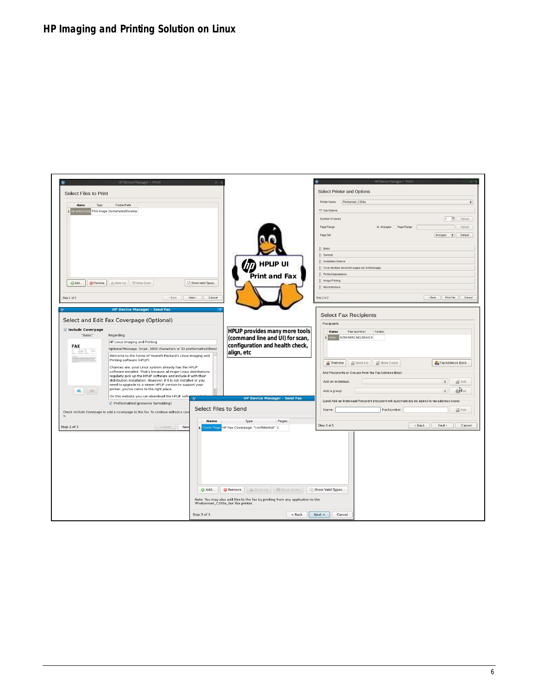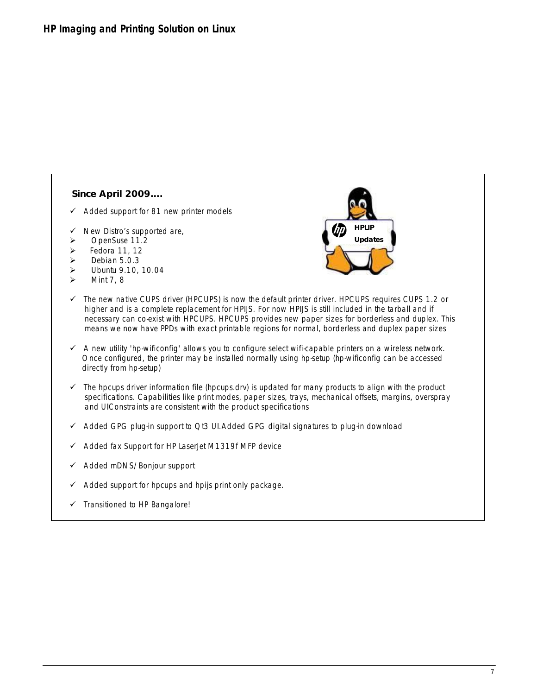## **Since April 2009….**

- $\checkmark$  Added support for 81 new printer models
- New Distro's supported are,
- OpenSuse 11.2
- Fedora 11, 12<br>
Pebian 5.0.3
- Debian 5.0.3
- Ubuntu 9.10, 10.04
- $\triangleright$  Mint 7, 8



- $\checkmark$  The new native CUPS driver (HPCUPS) is now the default printer driver. HPCUPS requires CUPS 1.2 or higher and is a complete replacement for HPIJS. For now HPIJS is still included in the tarball and if necessary can co-exist with HPCUPS. HPCUPS provides new paper sizes for borderless and duplex. This means we now have PPDs with exact printable regions for normal, borderless and duplex paper sizes
- $\checkmark$  A new utility 'hp-wificonfig' allows you to configure select wifi-capable printers on a wireless network. Once configured, the printer may be installed normally using hp-setup (hp-wificonfig can be accessed directly from hp-setup)
- $\checkmark$  The hpcups driver information file (hpcups.drv) is updated for many products to align with the product specifications. Capabilities like print modes, paper sizes, trays, mechanical offsets, margins, overspray and UIConstraints are consistent with the product specifications
- $\checkmark$  Added GPG plug-in support to Qt3 UI.Added GPG digital signatures to plug-in download
- $\checkmark$  Added fax Support for HP LaserJet M1319f MFP device
- Added mDNS/Bonjour support
- Added support for hpcups and hpijs print only package.
- Transitioned to HP Bangalore!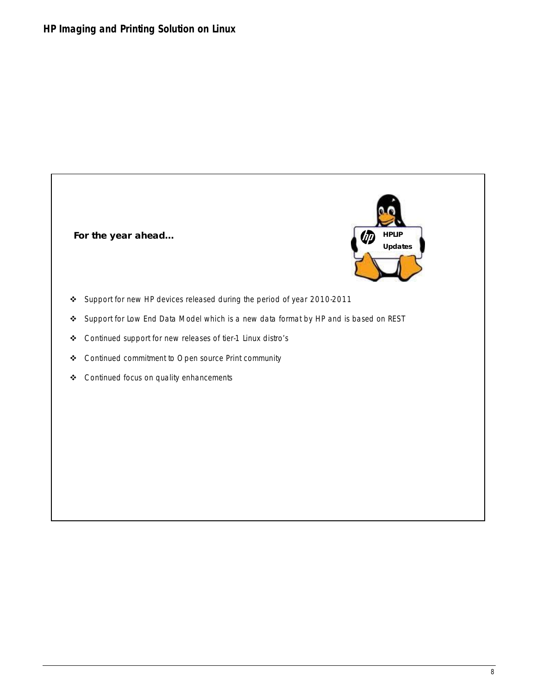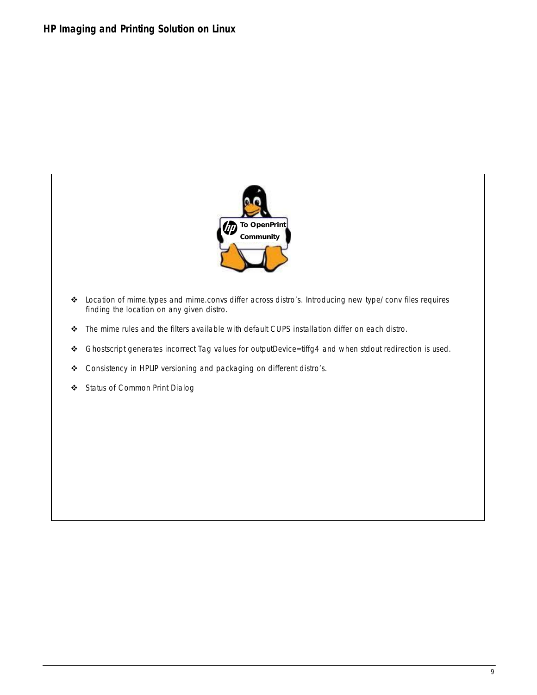

- Location of mime.types and mime.convs differ across distro's. Introducing new type/conv files requires finding the location on any given distro.
- \* The mime rules and the filters available with default CUPS installation differ on each distro.
- Ghostscript generates incorrect Tag values for outputDevice=tiffg4 and when stdout redirection is used.
- Consistency in HPLIP versioning and packaging on different distro's.
- Status of Common Print Dialog